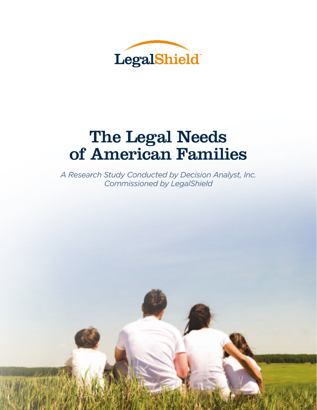

# The Legal Needs of American Families

*A Research Study Conducted by Decision Analyst, Inc. Commissioned by LegalShield*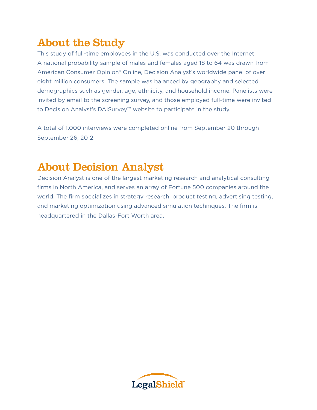## About the Study

This study of full-time employees in the U.S. was conducted over the Internet. A national probability sample of males and females aged 18 to 64 was drawn from American Consumer Opinion® Online, Decision Analyst's worldwide panel of over eight million consumers. The sample was balanced by geography and selected demographics such as gender, age, ethnicity, and household income. Panelists were invited by email to the screening survey, and those employed full-time were invited to Decision Analyst's DAISurvey™ website to participate in the study.

A total of 1,000 interviews were completed online from September 20 through September 26, 2012.

### About Decision Analyst

Decision Analyst is one of the largest marketing research and analytical consulting firms in North America, and serves an array of Fortune 500 companies around the world. The firm specializes in strategy research, product testing, advertising testing, and marketing optimization using advanced simulation techniques. The firm is headquartered in the Dallas-Fort Worth area.

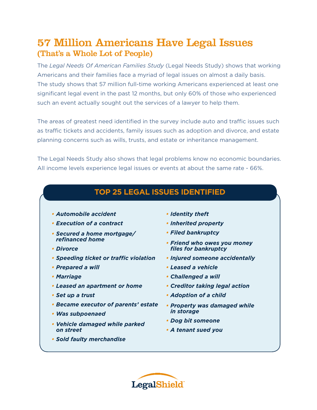### 57 Million Americans Have Legal Issues (That's a Whole Lot of People)

The *Legal Needs Of American Families Study* (Legal Needs Study) shows that working Americans and their families face a myriad of legal issues on almost a daily basis. The study shows that 57 million full-time working Americans experienced at least one significant legal event in the past 12 months, but only 60% of those who experienced such an event actually sought out the services of a lawyer to help them.

The areas of greatest need identified in the survey include auto and traffic issues such as traffic tickets and accidents, family issues such as adoption and divorce, and estate planning concerns such as wills, trusts, and estate or inheritance management.

The Legal Needs Study also shows that legal problems know no economic boundaries. All income levels experience legal issues or events at about the same rate - 66%.

#### **Top 25 Legal Issues Identified**

- *• Automobile accident*
- *• Execution of a contract*
- *• Secured a home mortgage/ refinanced home*
- *• Divorce*
- *• Speeding ticket or traffic violation*
- *• Prepared a will*
- *• Marriage*
- *• Leased an apartment or home*
- *• Set up a trust*
- *• Became executor of parents' estate*
- *• Was subpoenaed*
- *• Vehicle damaged while parked on street*
- *• Sold faulty merchandise*
- *• Identity theft*
- *• Inherited property*
- *• Filed bankruptcy*
- *• Friend who owes you money files for bankruptcy*
- *• Injured someone accidentally*
- *• Leased a vehicle*
- *• Challenged a will*
- *• Creditor taking legal action*
- *• Adoption of a child*
- *• Property was damaged while in storage*
- *• Dog bit someone*
- *• A tenant sued you*

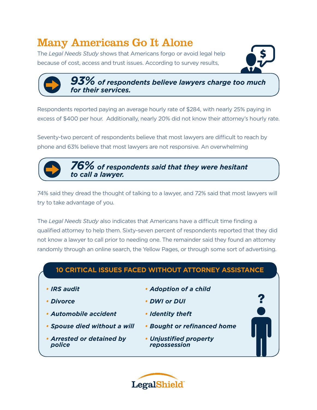### Many Americans Go It Alone

The *Legal Needs Study* shows that Americans forgo or avoid legal help because of cost, access and trust issues. According to survey results,



?

*93% of respondents believe lawyers charge too much for their services.* 

Respondents reported paying an average hourly rate of \$284, with nearly 25% paying in excess of \$400 per hour. Additionally, nearly 20% did not know their attorney's hourly rate.

Seventy-two percent of respondents believe that most lawyers are difficult to reach by phone and 63% believe that most lawyers are not responsive. An overwhelming

> *76% of respondents said that they were hesitant to call a lawyer.*

74% said they dread the thought of talking to a lawyer, and 72% said that most lawyers will try to take advantage of you.

The *Legal Needs Study* also indicates that Americans have a difficult time finding a qualified attorney to help them. Sixty-seven percent of respondents reported that they did not know a lawyer to call prior to needing one. The remainder said they found an attorney randomly through an online search, the Yellow Pages, or through some sort of advertising.

#### **10 Critical Issues Faced Without Attorney Assistance**

- *• IRS audit*
- *• Divorce*
- *• Automobile accident*
- *• Spouse died without a will*
- *• Arrested or detained by police*
- *• Adoption of a child*
- *• DWI or DUI*
- *• Identity theft*
- *• Bought or refinanced home*
- *• Unjustified property repossession*

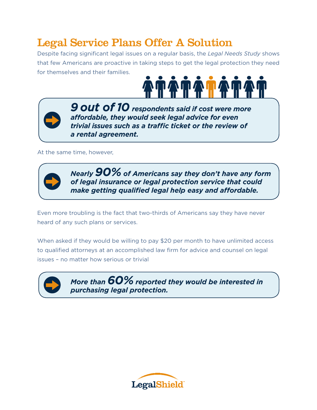### Legal Service Plans Offer A Solution

Despite facing significant legal issues on a regular basis, the *Legal Needs Study* shows that few Americans are proactive in taking steps to get the legal protection they need for themselves and their families.





*9 out of 10 respondents said if cost were more affordable, they would seek legal advice for even trivial issues such as a traffic ticket or the review of a rental agreement.* 

At the same time, however,



*Nearly 90% of Americans say they don't have any form of legal insurance or legal protection service that could make getting qualified legal help easy and affordable.* 

Even more troubling is the fact that two-thirds of Americans say they have never heard of any such plans or services.

When asked if they would be willing to pay \$20 per month to have unlimited access to qualified attorneys at an accomplished law firm for advice and counsel on legal issues – no matter how serious or trivial



*More than 60% reported they would be interested in purchasing legal protection.*